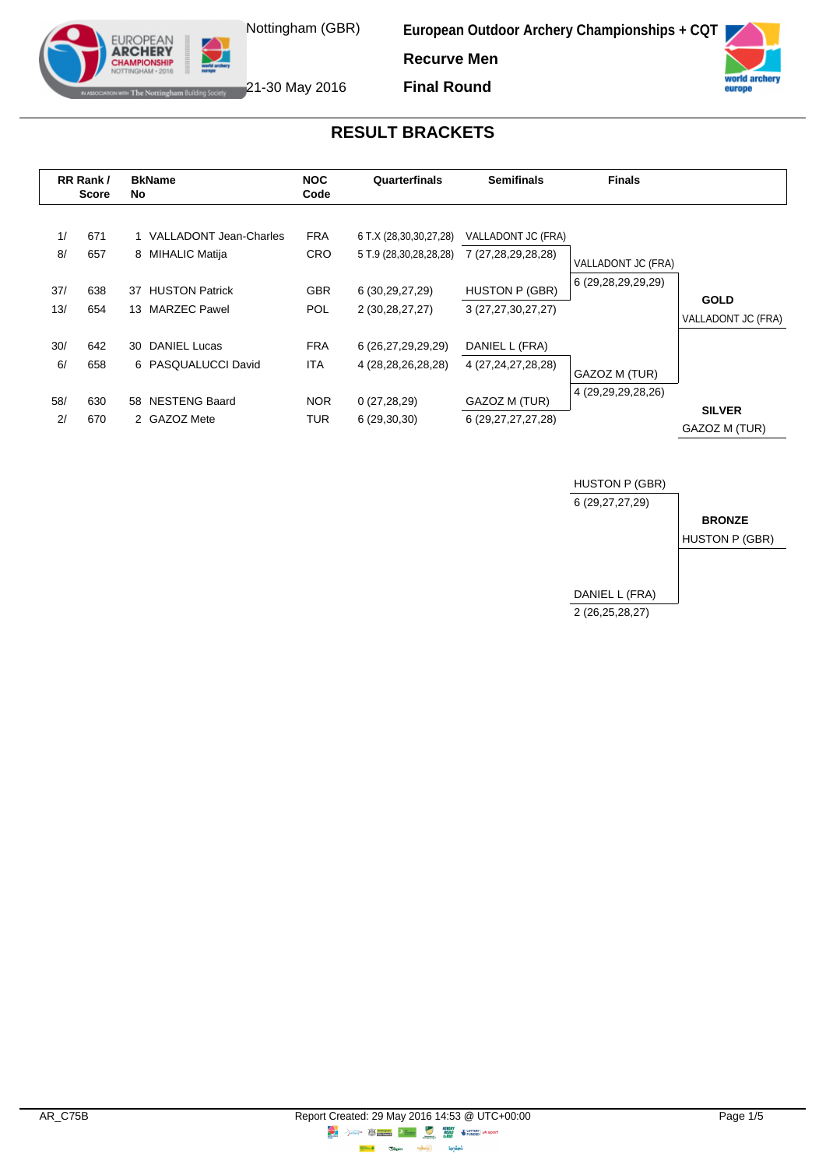



The Nottingham Building Society 21-30 May 2016

EUROPEAN **ARCHERY IPIONSHII** 

**Final Round**

### **RESULT BRACKETS**

|          | RR Rank /<br><b>Score</b> | <b>BkName</b><br>No.                         | <b>NOC</b><br>Code       | Quarterfinals                                    | <b>Semifinals</b>                        | <b>Finals</b>          |                    |
|----------|---------------------------|----------------------------------------------|--------------------------|--------------------------------------------------|------------------------------------------|------------------------|--------------------|
| 1/<br>8/ | 671<br>657                | 1 VALLADONT Jean-Charles<br>8 MIHALIC Matija | <b>FRA</b><br><b>CRO</b> | 6 T.X (28,30,30,27,28)<br>5 T.9 (28,30,28,28,28) | VALLADONT JC (FRA)<br>7 (27,28,29,28,28) | VALLADONT JC (FRA)     |                    |
| 37/      | 638                       | <b>HUSTON Patrick</b><br>37                  | <b>GBR</b>               | 6 (30, 29, 27, 29)                               | <b>HUSTON P (GBR)</b>                    | 6 (29,28,29,29,29)     | <b>GOLD</b>        |
| 13/      | 654                       | 13 MARZEC Pawel                              | <b>POL</b>               | 2 (30,28,27,27)                                  | 3 (27,27,30,27,27)                       |                        | VALLADONT JC (FRA) |
| 30/      | 642                       | 30 DANIEL Lucas                              | <b>FRA</b>               | 6 (26,27,29,29,29)                               | DANIEL L (FRA)                           |                        |                    |
| 6/       | 658                       | 6 PASQUALUCCI David                          | <b>ITA</b>               | 4 (28, 28, 26, 28, 28)                           | 4 (27, 24, 27, 28, 28)                   | GAZOZ M (TUR)          |                    |
| 58/      | 630                       | 58 NESTENG Baard                             | <b>NOR</b>               | 0(27, 28, 29)                                    | GAZOZ M (TUR)                            | 4 (29, 29, 29, 28, 26) | <b>SILVER</b>      |
| 2/       | 670                       | 2 GAZOZ Mete                                 | TUR                      | 6(29,30,30)                                      | 6 (29, 27, 27, 27, 28)                   |                        | GAZOZ M (TUR)      |

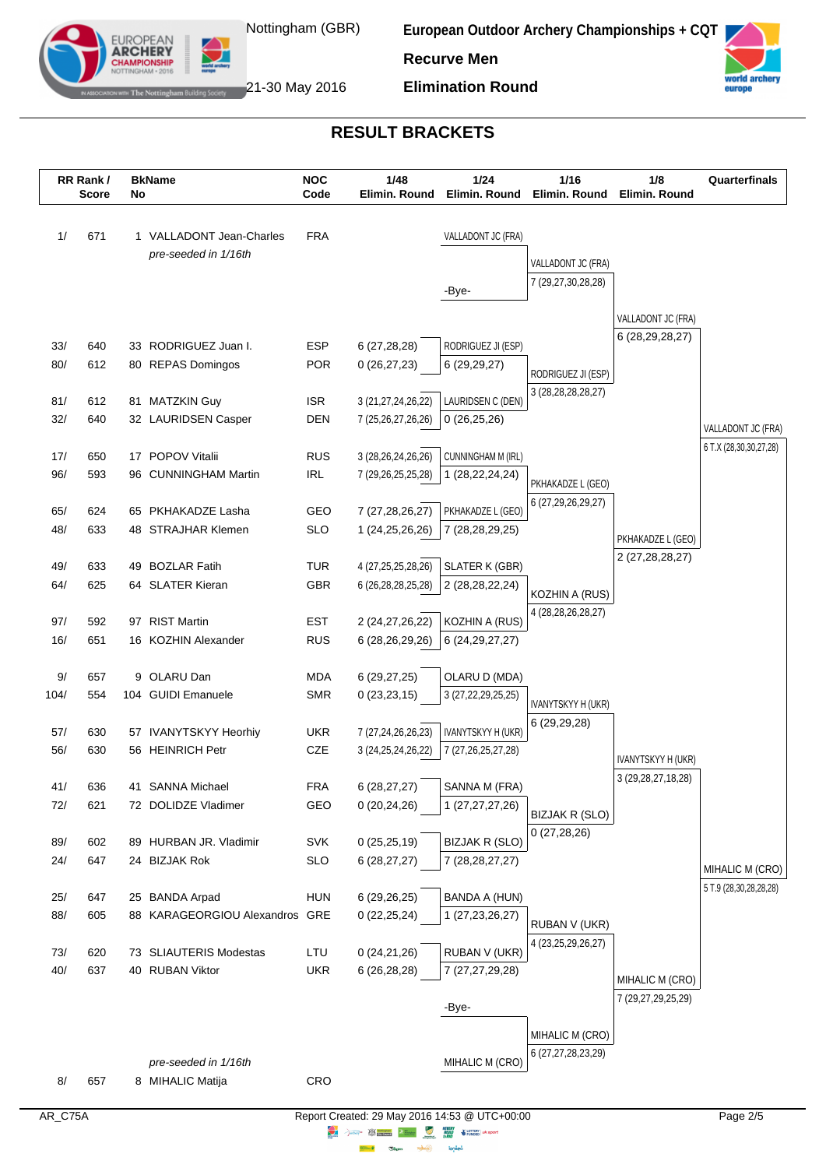

**European Outdoor Archery Championships + CQT**



21-30 May 2016

**EUROPEAN ADCHEDV** 

**Elimination Round**

**Recurve Men**

#### **RESULT BRACKETS**



lended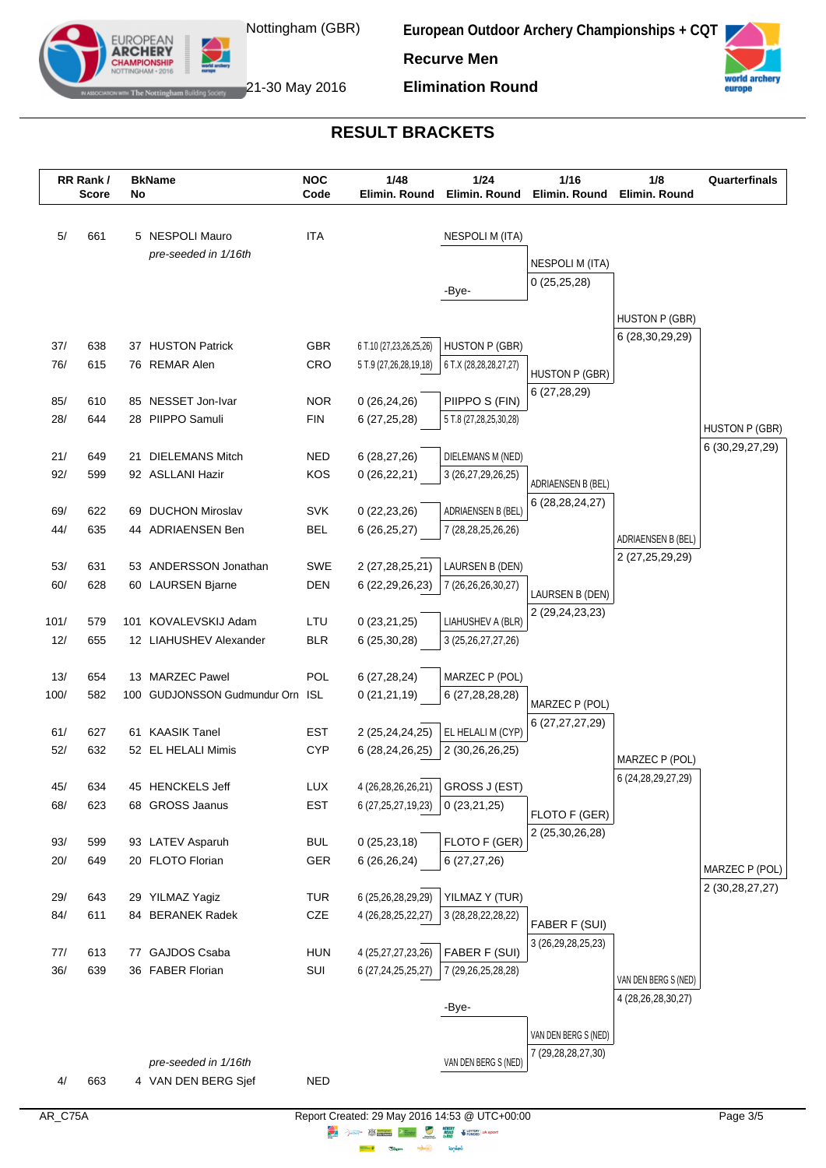



The Nottingham Building Society  $21$ -30 May 2016

EUROPEAN **ARCHERY** 

**Elimination Round**

# **RESULT BRACKETS**

|            | RR Rank/<br><b>Score</b> | No | <b>BkName</b>                               | <b>NOC</b><br>Code       | 1/48<br>Elimin. Round                        | 1/24<br>Elimin, Round                    | 1/16<br>Elimin. Round            | 1/8<br>Elimin. Round                           | Quarterfinals      |
|------------|--------------------------|----|---------------------------------------------|--------------------------|----------------------------------------------|------------------------------------------|----------------------------------|------------------------------------------------|--------------------|
|            |                          |    |                                             |                          |                                              |                                          |                                  |                                                |                    |
| 5/         | 661                      |    | 5 NESPOLI Mauro                             | <b>ITA</b>               |                                              | <b>NESPOLI M (ITA)</b>                   |                                  |                                                |                    |
|            |                          |    | pre-seeded in 1/16th                        |                          |                                              |                                          | <b>NESPOLI M (ITA)</b>           |                                                |                    |
|            |                          |    |                                             |                          |                                              | -Bye-                                    | 0(25,25,28)                      |                                                |                    |
|            |                          |    |                                             |                          |                                              |                                          |                                  |                                                |                    |
|            |                          |    |                                             |                          |                                              |                                          |                                  | <b>HUSTON P (GBR)</b>                          |                    |
| 37/        | 638                      |    | 37 HUSTON Patrick                           | <b>GBR</b>               | 6 T.10 (27,23,26,25,26)                      | <b>HUSTON P (GBR)</b>                    |                                  | 6 (28, 30, 29, 29)                             |                    |
| 76/        | 615                      |    | 76 REMAR Alen                               | CRO                      | 5 T.9 (27,26,28,19,18)                       | 6 T.X (28,28,28,27,27)                   | HUSTON P (GBR)                   |                                                |                    |
|            |                          |    |                                             |                          |                                              |                                          | 6(27, 28, 29)                    |                                                |                    |
| 85/        | 610                      |    | 85 NESSET Jon-Ivar                          | <b>NOR</b>               | 0(26, 24, 26)                                | PIIPPO S (FIN)                           |                                  |                                                |                    |
| 28/        | 644                      |    | 28 PIIPPO Samuli                            | <b>FIN</b>               | 6 (27,25,28)                                 | 5 T.8 (27,28,25,30,28)                   |                                  |                                                | HUSTON P (GBR)     |
| 21/        | 649                      |    | 21 DIELEMANS Mitch                          | <b>NED</b>               | 6(28, 27, 26)                                | DIELEMANS M (NED)                        |                                  |                                                | 6 (30, 29, 27, 29) |
| 92/        | 599                      |    | 92 ASLLANI Hazir                            | KOS                      | 0(26, 22, 21)                                | 3 (26,27,29,26,25)                       |                                  |                                                |                    |
|            |                          |    |                                             |                          |                                              |                                          | ADRIAENSEN B (BEL)               |                                                |                    |
| 69/        | 622                      |    | 69 DUCHON Miroslav                          | <b>SVK</b>               | 0(22, 23, 26)                                | ADRIAENSEN B (BEL)                       | 6 (28, 28, 24, 27)               |                                                |                    |
| 44/        | 635                      |    | 44 ADRIAENSEN Ben                           | <b>BEL</b>               | 6(26, 25, 27)                                | 7 (28, 28, 25, 26, 26)                   |                                  | ADRIAENSEN B (BEL)                             |                    |
|            |                          |    |                                             |                          |                                              |                                          |                                  | 2 (27,25,29,29)                                |                    |
| 53/<br>60/ | 631<br>628               |    | 53 ANDERSSON Jonathan                       | SWE<br><b>DEN</b>        | 2 (27,28,25,21)                              | LAURSEN B (DEN)                          |                                  |                                                |                    |
|            |                          |    | 60 LAURSEN Bjarne                           |                          | 6 (22, 29, 26, 23)                           | 7 (26,26,26,30,27)                       | LAURSEN B (DEN)                  |                                                |                    |
| 101/       | 579                      |    | 101 KOVALEVSKIJ Adam                        | LTU                      | 0(23,21,25)                                  | LIAHUSHEV A (BLR)                        | 2 (29,24,23,23)                  |                                                |                    |
| 12/        | 655                      |    | 12 LIAHUSHEV Alexander                      | <b>BLR</b>               | 6 (25,30,28)                                 | 3 (25, 26, 27, 27, 26)                   |                                  |                                                |                    |
|            |                          |    |                                             |                          |                                              |                                          |                                  |                                                |                    |
| 13/        | 654                      |    | 13 MARZEC Pawel                             | POL                      | 6(27, 28, 24)                                | MARZEC P (POL)                           |                                  |                                                |                    |
| 100/       | 582                      |    | 100 GUDJONSSON Gudmundur Orn                | ISL                      | 0(21, 21, 19)                                | 6 (27,28,28,28)                          | MARZEC P (POL)                   |                                                |                    |
|            |                          |    |                                             |                          |                                              |                                          | 6 (27, 27, 27, 29)               |                                                |                    |
| 61/<br>52/ | 627<br>632               |    | 61 KAASIK Tanel<br>52 EL HELALI Mimis       | <b>EST</b><br><b>CYP</b> | 2 (25,24,24,25)<br>6 (28,24,26,25)           | EL HELALI M (CYP)<br>2 (30,26,26,25)     |                                  |                                                |                    |
|            |                          |    |                                             |                          |                                              |                                          |                                  | MARZEC P (POL)                                 |                    |
| 45/        | 634                      |    | 45 HENCKELS Jeff                            | LUX                      | 4 (26,28,26,26,21)                           | GROSS J (EST)                            |                                  | 6 (24, 28, 29, 27, 29)                         |                    |
| 68/        | 623                      |    | 68 GROSS Jaanus                             | <b>EST</b>               | 6 (27, 25, 27, 19, 23)                       | 0(23,21,25)                              |                                  |                                                |                    |
|            |                          |    |                                             |                          |                                              |                                          | FLOTO F (GER)<br>2 (25,30,26,28) |                                                |                    |
| 93/        | 599                      |    | 93 LATEV Asparuh                            | <b>BUL</b>               | 0(25, 23, 18)                                | FLOTO F (GER)                            |                                  |                                                |                    |
| 20/        | 649                      |    | 20 FLOTO Florian                            | <b>GER</b>               | 6 (26,26,24)                                 | 6(27, 27, 26)                            |                                  |                                                | MARZEC P (POL)     |
|            |                          |    |                                             |                          |                                              |                                          |                                  |                                                | 2 (30,28,27,27)    |
| 29/<br>84/ | 643<br>611               |    | 29 YILMAZ Yagiz<br>84 BERANEK Radek         | <b>TUR</b><br>CZE        | 6 (25,26,28,29,29)<br>4 (26, 28, 25, 22, 27) | YILMAZ Y (TUR)<br>3 (28, 28, 22, 28, 22) |                                  |                                                |                    |
|            |                          |    |                                             |                          |                                              |                                          | FABER F (SUI)                    |                                                |                    |
| 77/        | 613                      |    | 77 GAJDOS Csaba                             | <b>HUN</b>               | 4 (25,27,27,23,26)                           | FABER F (SUI)                            | 3 (26,29,28,25,23)               |                                                |                    |
| 36/        | 639                      |    | 36 FABER Florian                            | SUI                      | 6 (27, 24, 25, 25, 27)                       | 7 (29, 26, 25, 28, 28)                   |                                  |                                                |                    |
|            |                          |    |                                             |                          |                                              |                                          |                                  | VAN DEN BERG S (NED)<br>4 (28, 26, 28, 30, 27) |                    |
|            |                          |    |                                             |                          |                                              | -Bye-                                    |                                  |                                                |                    |
|            |                          |    |                                             |                          |                                              |                                          | VAN DEN BERG S (NED)             |                                                |                    |
|            |                          |    |                                             |                          |                                              |                                          | 7 (29, 28, 28, 27, 30)           |                                                |                    |
| 4/         | 663                      |    | pre-seeded in 1/16th<br>4 VAN DEN BERG Sjef | <b>NED</b>               |                                              | VAN DEN BERG S (NED)                     |                                  |                                                |                    |
|            |                          |    |                                             |                          |                                              |                                          |                                  |                                                |                    |

**lensed** 

**Highway Citym**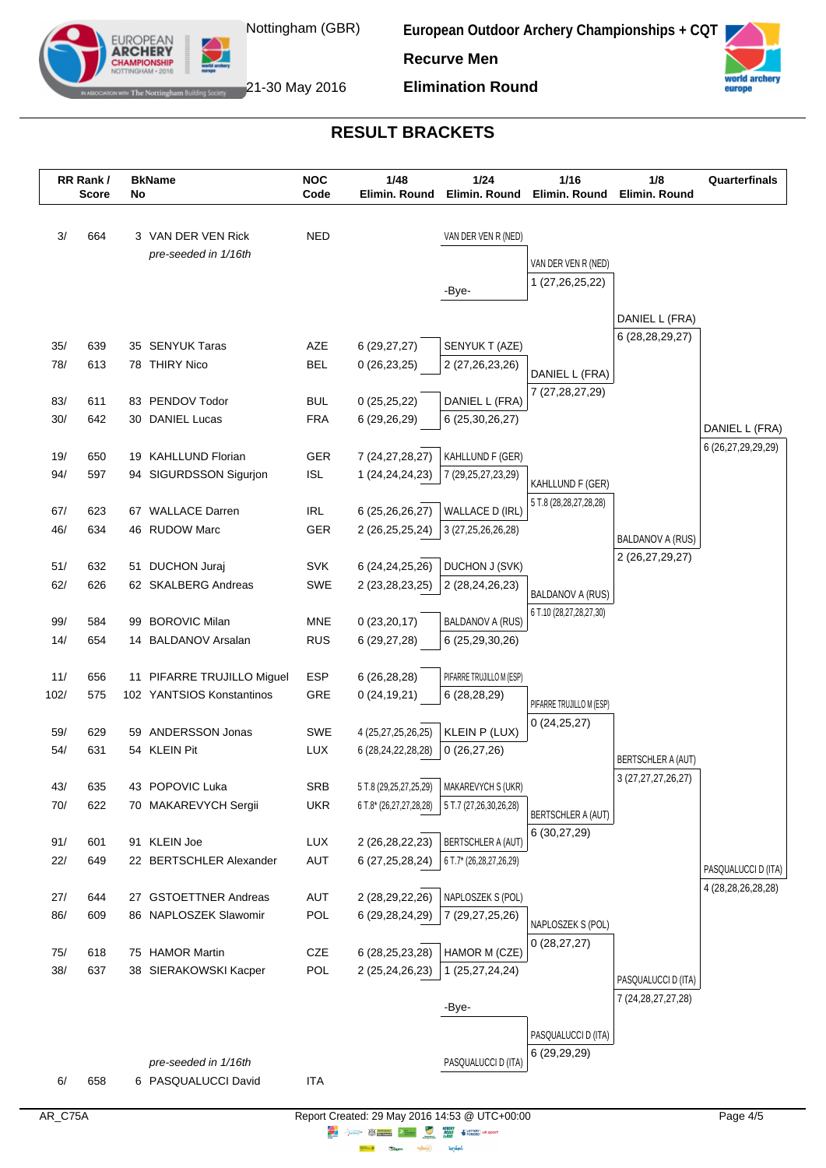



The Nottingham Building Society  $21$ -30 May 2016

EUROPEAN **ARCHERY** 

**Elimination Round**

# **RESULT BRACKETS**

|            | RR Rank/<br><b>Score</b> | No | <b>BkName</b>                          | <b>NOC</b><br>Code | 1/48<br>Elimin. Round                 | 1/24<br>Elimin. Round                       | 1/16<br>Elimin. Round                | 1/8<br>Elimin. Round                         | Quarterfinals       |
|------------|--------------------------|----|----------------------------------------|--------------------|---------------------------------------|---------------------------------------------|--------------------------------------|----------------------------------------------|---------------------|
| 3/         | 664                      |    | 3 VAN DER VEN Rick                     | <b>NED</b>         |                                       | VAN DER VEN R (NED)                         |                                      |                                              |                     |
|            |                          |    | pre-seeded in 1/16th                   |                    |                                       |                                             | VAN DER VEN R (NED)                  |                                              |                     |
|            |                          |    |                                        |                    |                                       |                                             | 1 (27,26,25,22)                      |                                              |                     |
|            |                          |    |                                        |                    |                                       | -Bye-                                       |                                      |                                              |                     |
|            |                          |    |                                        |                    |                                       |                                             |                                      | DANIEL L (FRA)                               |                     |
| 35/        | 639                      |    | 35 SENYUK Taras                        | AZE                | 6(29, 27, 27)                         | SENYUK T (AZE)                              |                                      | 6 (28, 28, 29, 27)                           |                     |
| 78/        | 613                      |    | 78 THIRY Nico                          | <b>BEL</b>         | 0(26, 23, 25)                         | 2 (27, 26, 23, 26)                          |                                      |                                              |                     |
|            |                          |    |                                        |                    |                                       |                                             | DANIEL L (FRA)<br>7 (27, 28, 27, 29) |                                              |                     |
| 83/        | 611                      |    | 83 PENDOV Todor                        | <b>BUL</b>         | 0(25,25,22)                           | DANIEL L (FRA)                              |                                      |                                              |                     |
| 30/        | 642                      |    | 30 DANIEL Lucas                        | <b>FRA</b>         | 6 (29,26,29)                          | 6 (25,30,26,27)                             |                                      |                                              | DANIEL L (FRA)      |
| 19/        | 650                      |    | 19 KAHLLUND Florian                    | GER                | 7 (24, 27, 28, 27)                    | KAHLLUND F (GER)                            |                                      |                                              | 6 (26,27,29,29,29)  |
| 94/        | 597                      |    | 94 SIGURDSSON Sigurjon                 | <b>ISL</b>         | 1 (24, 24, 24, 23)                    | 7 (29, 25, 27, 23, 29)                      |                                      |                                              |                     |
|            |                          |    |                                        |                    |                                       |                                             | KAHLLUND F (GER)                     |                                              |                     |
| 67/        | 623                      |    | 67 WALLACE Darren                      | <b>IRL</b>         | 6 (25,26,26,27)                       | WALLACE D (IRL)                             | 5 T.8 (28,28,27,28,28)               |                                              |                     |
| 46/        | 634                      |    | 46 RUDOW Marc                          | GER                | 2 (26,25,25,24)                       | 3 (27,25,26,26,28)                          |                                      | BALDANOV A (RUS)                             |                     |
|            |                          |    |                                        |                    |                                       |                                             |                                      | 2 (26,27,29,27)                              |                     |
| 51/<br>62/ | 632<br>626               |    | 51 DUCHON Juraj<br>62 SKALBERG Andreas | <b>SVK</b><br>SWE  | 6 (24, 24, 25, 26)<br>2 (23,28,23,25) | <b>DUCHON J (SVK)</b><br>2 (28,24,26,23)    |                                      |                                              |                     |
|            |                          |    |                                        |                    |                                       |                                             | <b>BALDANOV A (RUS)</b>              |                                              |                     |
| 99/        | 584                      |    | 99 BOROVIC Milan                       | <b>MNE</b>         | 0(23,20,17)                           | <b>BALDANOV A (RUS)</b>                     | 6 T.10 (28,27,28,27,30)              |                                              |                     |
| 14/        | 654                      |    | 14 BALDANOV Arsalan                    | <b>RUS</b>         | 6 (29,27,28)                          | 6 (25,29,30,26)                             |                                      |                                              |                     |
|            |                          |    |                                        |                    |                                       |                                             |                                      |                                              |                     |
| 11/        | 656                      |    | 11 PIFARRE TRUJILLO Miguel             | ESP                | 6 (26,28,28)                          | PIFARRE TRUJILLO M (ESP)                    |                                      |                                              |                     |
| 102/       | 575                      |    | 102 YANTSIOS Konstantinos              | GRE                | 0(24, 19, 21)                         | 6(28, 28, 29)                               | PIFARRE TRUJILLO M (ESP)             |                                              |                     |
| 59/        | 629                      |    | 59 ANDERSSON Jonas                     | SWE                | 4 (25,27,25,26,25)                    | KLEIN P (LUX)                               | 0(24,25,27)                          |                                              |                     |
| 54/        | 631                      |    | 54 KLEIN Pit                           | <b>LUX</b>         | 6 (28, 24, 22, 28, 28)                | 0(26, 27, 26)                               |                                      |                                              |                     |
|            |                          |    |                                        |                    |                                       |                                             |                                      | BERTSCHLER A (AUT)<br>3 (27, 27, 27, 26, 27) |                     |
| 43/        | 635                      |    | 43 POPOVIC Luka                        | <b>SRB</b>         |                                       | 5 T.8 (29,25,27,25,29)   MAKAREVYCH S (UKR) |                                      |                                              |                     |
| 70/        | 622                      |    | 70 MAKAREVYCH Sergii                   | <b>UKR</b>         | 6 T.8* (26,27,27,28,28)               | 5 T.7 (27,26,30,26,28)                      | BERTSCHLER A (AUT)                   |                                              |                     |
| 91/        | 601                      |    | 91 KLEIN Joe                           | LUX                | 2 (26,28,22,23)                       | BERTSCHLER A (AUT)                          | 6 (30,27,29)                         |                                              |                     |
| 22/        | 649                      |    | 22 BERTSCHLER Alexander                | AUT                | 6 (27,25,28,24)                       | 6 T.7* (26,28,27,26,29)                     |                                      |                                              |                     |
|            |                          |    |                                        |                    |                                       |                                             |                                      |                                              | PASQUALUCCI D (ITA) |
| 27/        | 644                      |    | 27 GSTOETTNER Andreas                  | AUT                | 2 (28,29,22,26)                       | NAPLOSZEK S (POL)                           |                                      |                                              | 4 (28,28,26,28,28)  |
| 86/        | 609                      |    | 86 NAPLOSZEK Slawomir                  | POL                | 6 (29, 28, 24, 29)                    | 7 (29,27,25,26)                             | NAPLOSZEK S (POL)                    |                                              |                     |
|            |                          |    |                                        |                    |                                       |                                             | 0(28, 27, 27)                        |                                              |                     |
| 75/        | 618                      |    | 75 HAMOR Martin                        | CZE                | 6 (28, 25, 23, 28)                    | HAMOR M (CZE)                               |                                      |                                              |                     |
| 38/        | 637                      |    | 38 SIERAKOWSKI Kacper                  | POL                | 2 (25,24,26,23)                       | 1 (25,27,24,24)                             |                                      | PASQUALUCCI D (ITA)                          |                     |
|            |                          |    |                                        |                    |                                       | -Bye-                                       |                                      | 7 (24, 28, 27, 27, 28)                       |                     |
|            |                          |    |                                        |                    |                                       |                                             |                                      |                                              |                     |
|            |                          |    |                                        |                    |                                       |                                             | PASQUALUCCI D (ITA)<br>6 (29,29,29)  |                                              |                     |
|            |                          |    | pre-seeded in 1/16th                   |                    |                                       | PASQUALUCCI D (ITA)                         |                                      |                                              |                     |
| 6/         | 658                      |    | 6 PASQUALUCCI David                    | <b>ITA</b>         |                                       |                                             |                                      |                                              |                     |

**lensed** 

**Highway** .<br>Citype